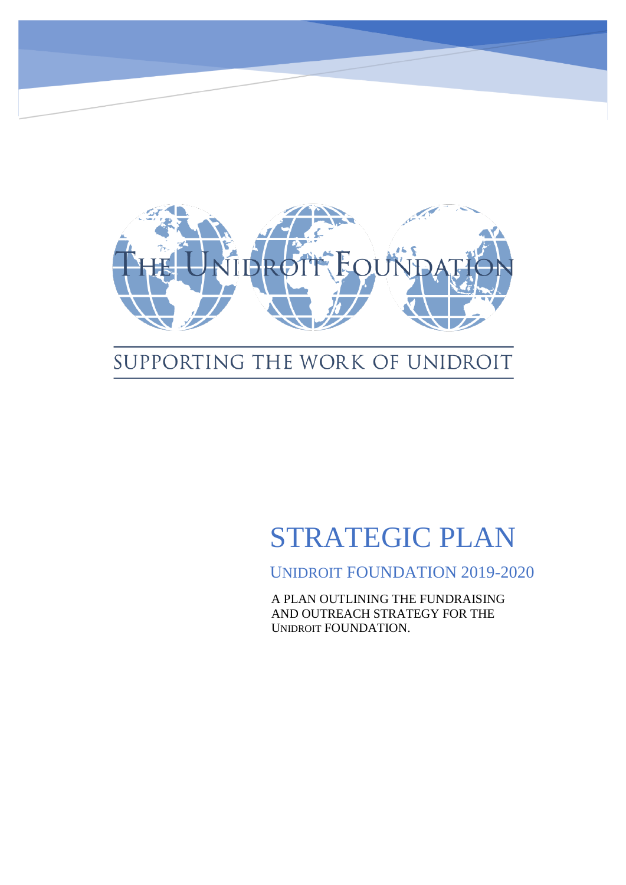

# STRATEGIC PLAN

UNIDROIT FOUNDATION 2019-2020

A PLAN OUTLINING THE FUNDRAISING AND OUTREACH STRATEGY FOR THE UNIDROIT FOUNDATION.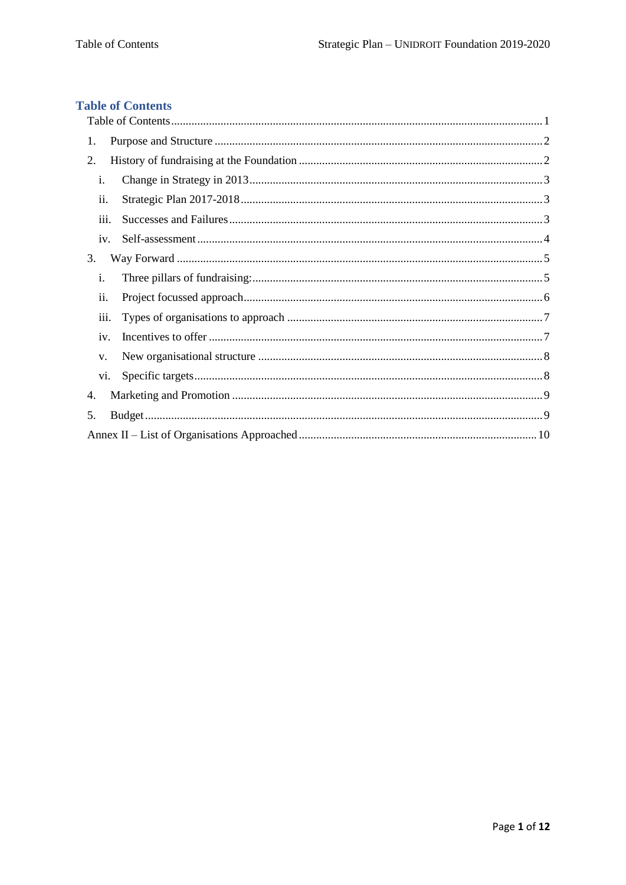# <span id="page-1-0"></span>**Table of Contents**

| 1.   |  |  |  |  |  |
|------|--|--|--|--|--|
| 2.   |  |  |  |  |  |
| i.   |  |  |  |  |  |
| ii.  |  |  |  |  |  |
| iii. |  |  |  |  |  |
| iv.  |  |  |  |  |  |
| 3.   |  |  |  |  |  |
| i.   |  |  |  |  |  |
| ii.  |  |  |  |  |  |
| iii. |  |  |  |  |  |
| iv.  |  |  |  |  |  |
| V.   |  |  |  |  |  |
| vi.  |  |  |  |  |  |
| 4.   |  |  |  |  |  |
| 5.   |  |  |  |  |  |
|      |  |  |  |  |  |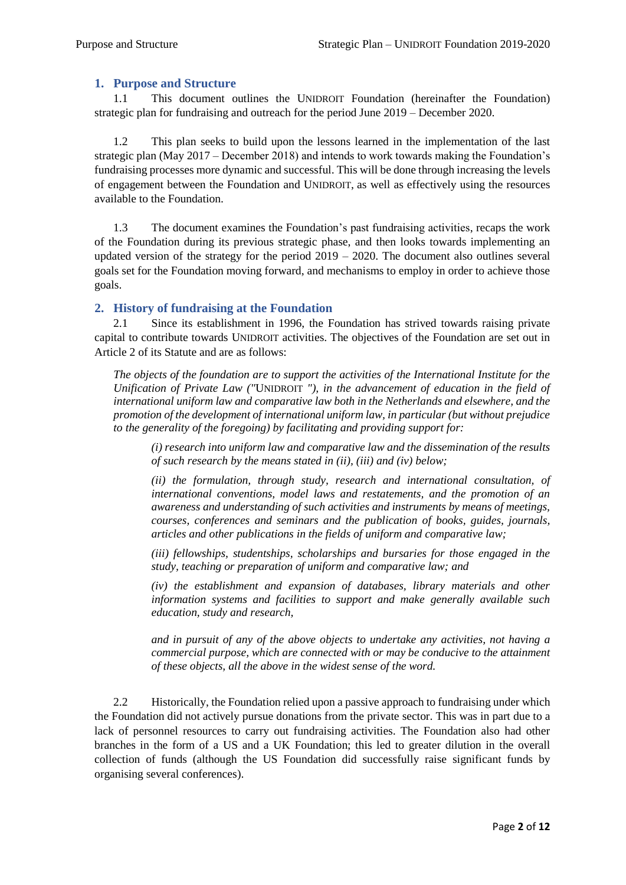# <span id="page-2-0"></span>**1. Purpose and Structure**

1.1 This document outlines the UNIDROIT Foundation (hereinafter the Foundation) strategic plan for fundraising and outreach for the period June 2019 – December 2020.

1.2 This plan seeks to build upon the lessons learned in the implementation of the last strategic plan (May 2017 – December 2018) and intends to work towards making the Foundation's fundraising processes more dynamic and successful. This will be done through increasing the levels of engagement between the Foundation and UNIDROIT, as well as effectively using the resources available to the Foundation.

1.3 The document examines the Foundation's past fundraising activities, recaps the work of the Foundation during its previous strategic phase, and then looks towards implementing an updated version of the strategy for the period  $2019 - 2020$ . The document also outlines several goals set for the Foundation moving forward, and mechanisms to employ in order to achieve those goals.

# <span id="page-2-1"></span>**2. History of fundraising at the Foundation**

2.1 Since its establishment in 1996, the Foundation has strived towards raising private capital to contribute towards UNIDROIT activities. The objectives of the Foundation are set out in Article 2 of its Statute and are as follows:

*The objects of the foundation are to support the activities of the International Institute for the Unification of Private Law ("*UNIDROIT *"), in the advancement of education in the field of international uniform law and comparative law both in the Netherlands and elsewhere, and the promotion of the development of international uniform law, in particular (but without prejudice to the generality of the foregoing) by facilitating and providing support for:* 

*(i) research into uniform law and comparative law and the dissemination of the results of such research by the means stated in (ii), (iii) and (iv) below;* 

*(ii) the formulation, through study, research and international consultation, of international conventions, model laws and restatements, and the promotion of an awareness and understanding of such activities and instruments by means of meetings, courses, conferences and seminars and the publication of books, guides, journals, articles and other publications in the fields of uniform and comparative law;* 

*(iii) fellowships, studentships, scholarships and bursaries for those engaged in the study, teaching or preparation of uniform and comparative law; and* 

*(iv) the establishment and expansion of databases, library materials and other information systems and facilities to support and make generally available such education, study and research,* 

*and in pursuit of any of the above objects to undertake any activities, not having a commercial purpose, which are connected with or may be conducive to the attainment of these objects, all the above in the widest sense of the word.*

2.2 Historically, the Foundation relied upon a passive approach to fundraising under which the Foundation did not actively pursue donations from the private sector. This was in part due to a lack of personnel resources to carry out fundraising activities. The Foundation also had other branches in the form of a US and a UK Foundation; this led to greater dilution in the overall collection of funds (although the US Foundation did successfully raise significant funds by organising several conferences).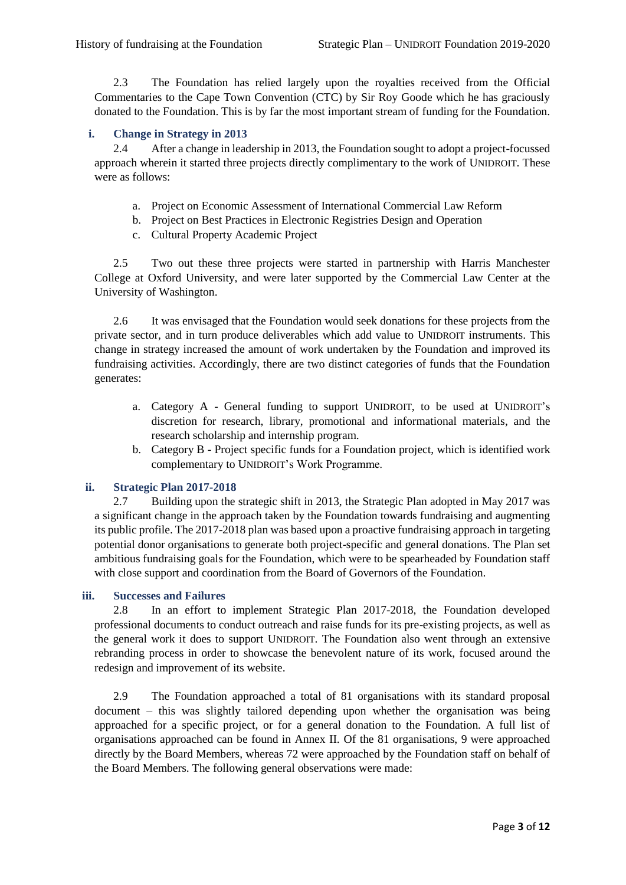2.3 The Foundation has relied largely upon the royalties received from the Official Commentaries to the Cape Town Convention (CTC) by Sir Roy Goode which he has graciously donated to the Foundation. This is by far the most important stream of funding for the Foundation.

#### <span id="page-3-0"></span>**i. Change in Strategy in 2013**

2.4 After a change in leadership in 2013, the Foundation sought to adopt a project-focussed approach wherein it started three projects directly complimentary to the work of UNIDROIT. These were as follows:

- a. Project on Economic Assessment of International Commercial Law Reform
- b. Project on Best Practices in Electronic Registries Design and Operation
- c. Cultural Property Academic Project

2.5 Two out these three projects were started in partnership with Harris Manchester College at Oxford University, and were later supported by the Commercial Law Center at the University of Washington.

2.6 It was envisaged that the Foundation would seek donations for these projects from the private sector, and in turn produce deliverables which add value to UNIDROIT instruments. This change in strategy increased the amount of work undertaken by the Foundation and improved its fundraising activities. Accordingly, there are two distinct categories of funds that the Foundation generates:

- a. Category A General funding to support UNIDROIT, to be used at UNIDROIT's discretion for research, library, promotional and informational materials, and the research scholarship and internship program.
- b. Category B Project specific funds for a Foundation project, which is identified work complementary to UNIDROIT's Work Programme.

#### <span id="page-3-1"></span>**ii. Strategic Plan 2017-2018**

2.7 Building upon the strategic shift in 2013, the Strategic Plan adopted in May 2017 was a significant change in the approach taken by the Foundation towards fundraising and augmenting its public profile. The 2017-2018 plan was based upon a proactive fundraising approach in targeting potential donor organisations to generate both project-specific and general donations. The Plan set ambitious fundraising goals for the Foundation, which were to be spearheaded by Foundation staff with close support and coordination from the Board of Governors of the Foundation.

#### <span id="page-3-2"></span>**iii. Successes and Failures**

2.8 In an effort to implement Strategic Plan 2017-2018, the Foundation developed professional documents to conduct outreach and raise funds for its pre-existing projects, as well as the general work it does to support UNIDROIT. The Foundation also went through an extensive rebranding process in order to showcase the benevolent nature of its work, focused around the redesign and improvement of its website.

2.9 The Foundation approached a total of 81 organisations with its standard proposal document – this was slightly tailored depending upon whether the organisation was being approached for a specific project, or for a general donation to the Foundation. A full list of organisations approached can be found in Annex II. Of the 81 organisations, 9 were approached directly by the Board Members, whereas 72 were approached by the Foundation staff on behalf of the Board Members. The following general observations were made: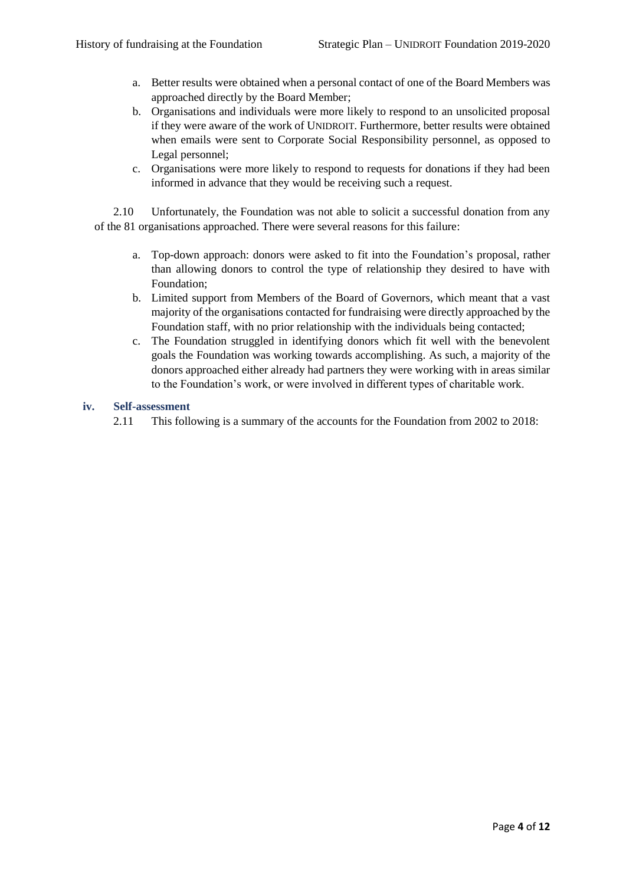- a. Better results were obtained when a personal contact of one of the Board Members was approached directly by the Board Member;
- b. Organisations and individuals were more likely to respond to an unsolicited proposal if they were aware of the work of UNIDROIT. Furthermore, better results were obtained when emails were sent to Corporate Social Responsibility personnel, as opposed to Legal personnel;
- c. Organisations were more likely to respond to requests for donations if they had been informed in advance that they would be receiving such a request.

2.10 Unfortunately, the Foundation was not able to solicit a successful donation from any of the 81 organisations approached. There were several reasons for this failure:

- a. Top-down approach: donors were asked to fit into the Foundation's proposal, rather than allowing donors to control the type of relationship they desired to have with Foundation;
- b. Limited support from Members of the Board of Governors, which meant that a vast majority of the organisations contacted for fundraising were directly approached by the Foundation staff, with no prior relationship with the individuals being contacted;
- c. The Foundation struggled in identifying donors which fit well with the benevolent goals the Foundation was working towards accomplishing. As such, a majority of the donors approached either already had partners they were working with in areas similar to the Foundation's work, or were involved in different types of charitable work.

#### <span id="page-4-0"></span>**iv. Self-assessment**

2.11 This following is a summary of the accounts for the Foundation from 2002 to 2018: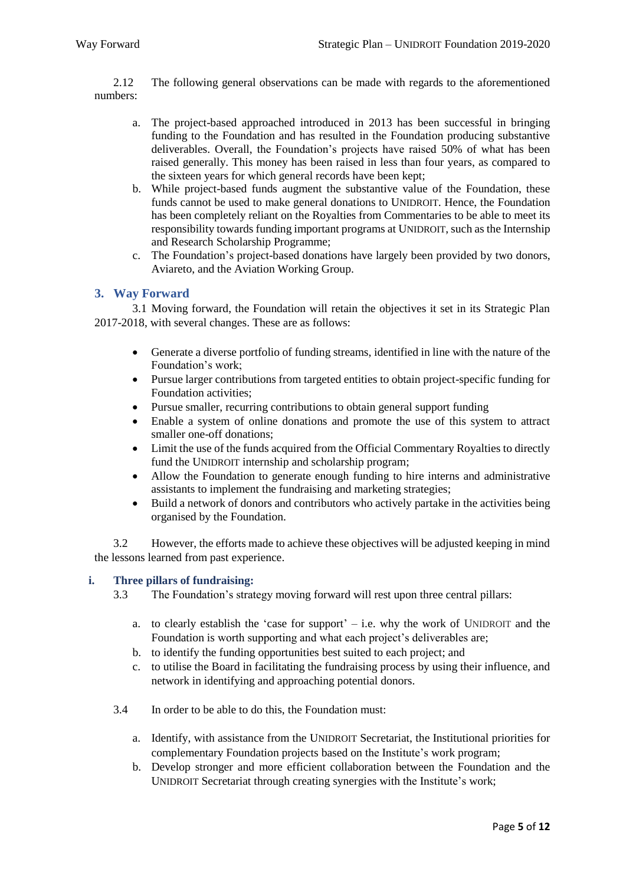2.12 The following general observations can be made with regards to the aforementioned numbers:

- a. The project-based approached introduced in 2013 has been successful in bringing funding to the Foundation and has resulted in the Foundation producing substantive deliverables. Overall, the Foundation's projects have raised 50% of what has been raised generally. This money has been raised in less than four years, as compared to the sixteen years for which general records have been kept;
- b. While project-based funds augment the substantive value of the Foundation, these funds cannot be used to make general donations to UNIDROIT. Hence, the Foundation has been completely reliant on the Royalties from Commentaries to be able to meet its responsibility towards funding important programs at UNIDROIT, such as the Internship and Research Scholarship Programme;
- c. The Foundation's project-based donations have largely been provided by two donors, Aviareto, and the Aviation Working Group.

# <span id="page-5-0"></span>**3. Way Forward**

3.1 Moving forward, the Foundation will retain the objectives it set in its Strategic Plan 2017-2018, with several changes. These are as follows:

- Generate a diverse portfolio of funding streams, identified in line with the nature of the Foundation's work;
- Pursue larger contributions from targeted entities to obtain project-specific funding for Foundation activities;
- Pursue smaller, recurring contributions to obtain general support funding
- Enable a system of online donations and promote the use of this system to attract smaller one-off donations;
- Limit the use of the funds acquired from the Official Commentary Royalties to directly fund the UNIDROIT internship and scholarship program;
- Allow the Foundation to generate enough funding to hire interns and administrative assistants to implement the fundraising and marketing strategies;
- Build a network of donors and contributors who actively partake in the activities being organised by the Foundation.

3.2 However, the efforts made to achieve these objectives will be adjusted keeping in mind the lessons learned from past experience.

#### <span id="page-5-1"></span>**i. Three pillars of fundraising:**

- 3.3 The Foundation's strategy moving forward will rest upon three central pillars:
	- a. to clearly establish the 'case for support' i.e. why the work of UNIDROIT and the Foundation is worth supporting and what each project's deliverables are;
	- b. to identify the funding opportunities best suited to each project; and
	- c. to utilise the Board in facilitating the fundraising process by using their influence, and network in identifying and approaching potential donors.
- 3.4 In order to be able to do this, the Foundation must:
	- a. Identify, with assistance from the UNIDROIT Secretariat, the Institutional priorities for complementary Foundation projects based on the Institute's work program;
	- b. Develop stronger and more efficient collaboration between the Foundation and the UNIDROIT Secretariat through creating synergies with the Institute's work;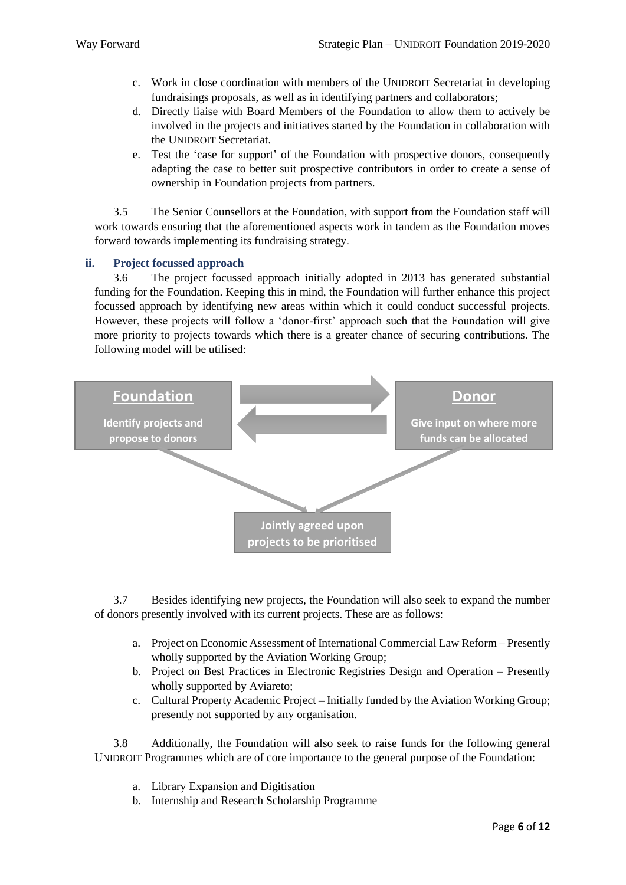- c. Work in close coordination with members of the UNIDROIT Secretariat in developing fundraisings proposals, as well as in identifying partners and collaborators;
- d. Directly liaise with Board Members of the Foundation to allow them to actively be involved in the projects and initiatives started by the Foundation in collaboration with the UNIDROIT Secretariat.
- e. Test the 'case for support' of the Foundation with prospective donors, consequently adapting the case to better suit prospective contributors in order to create a sense of ownership in Foundation projects from partners.

3.5 The Senior Counsellors at the Foundation, with support from the Foundation staff will work towards ensuring that the aforementioned aspects work in tandem as the Foundation moves forward towards implementing its fundraising strategy.

# <span id="page-6-0"></span>**ii. Project focussed approach**

3.6 The project focussed approach initially adopted in 2013 has generated substantial funding for the Foundation. Keeping this in mind, the Foundation will further enhance this project focussed approach by identifying new areas within which it could conduct successful projects. However, these projects will follow a 'donor-first' approach such that the Foundation will give more priority to projects towards which there is a greater chance of securing contributions. The following model will be utilised:



3.7 Besides identifying new projects, the Foundation will also seek to expand the number of donors presently involved with its current projects. These are as follows:

- a. Project on Economic Assessment of International Commercial Law Reform Presently wholly supported by the Aviation Working Group;
- b. Project on Best Practices in Electronic Registries Design and Operation Presently wholly supported by Aviareto;
- c. Cultural Property Academic Project Initially funded by the Aviation Working Group; presently not supported by any organisation.

3.8 Additionally, the Foundation will also seek to raise funds for the following general UNIDROIT Programmes which are of core importance to the general purpose of the Foundation:

- a. Library Expansion and Digitisation
- b. Internship and Research Scholarship Programme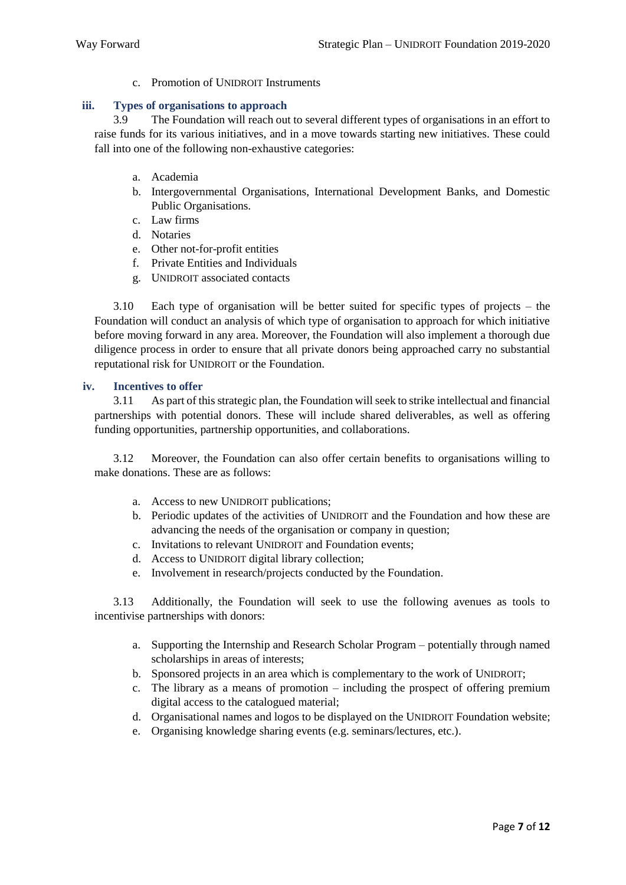c. Promotion of UNIDROIT Instruments

# <span id="page-7-0"></span>**iii. Types of organisations to approach**

3.9 The Foundation will reach out to several different types of organisations in an effort to raise funds for its various initiatives, and in a move towards starting new initiatives. These could fall into one of the following non-exhaustive categories:

- a. Academia
- b. Intergovernmental Organisations, International Development Banks, and Domestic Public Organisations.
- c. Law firms
- d. Notaries
- e. Other not-for-profit entities
- f. Private Entities and Individuals
- g. UNIDROIT associated contacts

3.10 Each type of organisation will be better suited for specific types of projects – the Foundation will conduct an analysis of which type of organisation to approach for which initiative before moving forward in any area. Moreover, the Foundation will also implement a thorough due diligence process in order to ensure that all private donors being approached carry no substantial reputational risk for UNIDROIT or the Foundation.

# <span id="page-7-1"></span>**iv. Incentives to offer**

3.11 As part of this strategic plan, the Foundation will seek to strike intellectual and financial partnerships with potential donors. These will include shared deliverables, as well as offering funding opportunities, partnership opportunities, and collaborations.

3.12 Moreover, the Foundation can also offer certain benefits to organisations willing to make donations. These are as follows:

- a. Access to new UNIDROIT publications;
- b. Periodic updates of the activities of UNIDROIT and the Foundation and how these are advancing the needs of the organisation or company in question;
- c. Invitations to relevant UNIDROIT and Foundation events;
- d. Access to UNIDROIT digital library collection;
- e. Involvement in research/projects conducted by the Foundation.

3.13 Additionally, the Foundation will seek to use the following avenues as tools to incentivise partnerships with donors:

- a. Supporting the Internship and Research Scholar Program potentially through named scholarships in areas of interests;
- b. Sponsored projects in an area which is complementary to the work of UNIDROIT;
- c. The library as a means of promotion including the prospect of offering premium digital access to the catalogued material;
- d. Organisational names and logos to be displayed on the UNIDROIT Foundation website;
- e. Organising knowledge sharing events (e.g. seminars/lectures, etc.).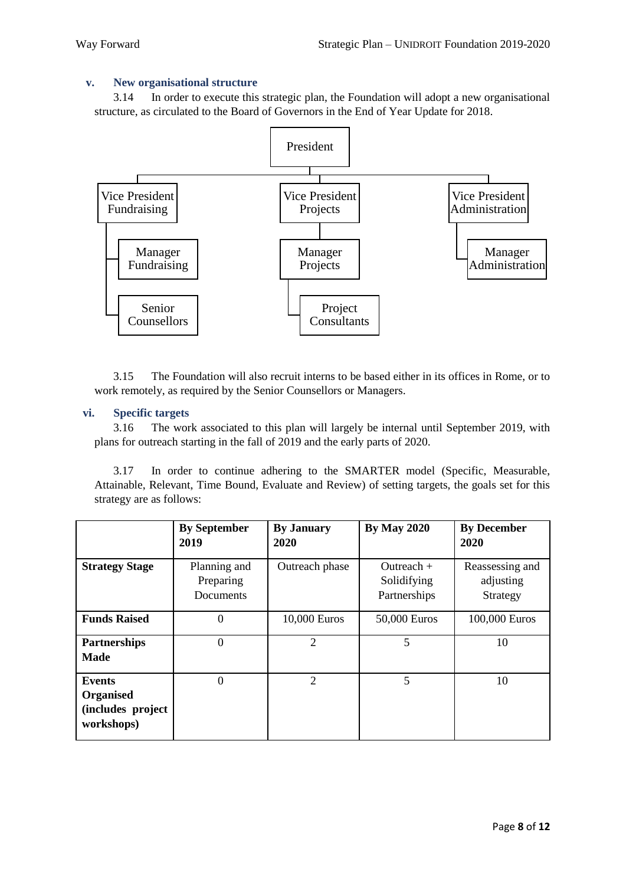# <span id="page-8-0"></span>**v. New organisational structure**

3.14 In order to execute this strategic plan, the Foundation will adopt a new organisational structure, as circulated to the Board of Governors in the End of Year Update for 2018.



3.15 The Foundation will also recruit interns to be based either in its offices in Rome, or to work remotely, as required by the Senior Counsellors or Managers.

# <span id="page-8-1"></span>**vi. Specific targets**

3.16 The work associated to this plan will largely be internal until September 2019, with plans for outreach starting in the fall of 2019 and the early parts of 2020.

3.17 In order to continue adhering to the SMARTER model (Specific, Measurable, Attainable, Relevant, Time Bound, Evaluate and Review) of setting targets, the goals set for this strategy are as follows:

|                                                               | <b>By September</b><br>2019            | <b>By January</b><br>2020 | <b>By May 2020</b>                          | <b>By December</b><br>2020               |
|---------------------------------------------------------------|----------------------------------------|---------------------------|---------------------------------------------|------------------------------------------|
| <b>Strategy Stage</b>                                         | Planning and<br>Preparing<br>Documents | Outreach phase            | Outreach $+$<br>Solidifying<br>Partnerships | Reassessing and<br>adjusting<br>Strategy |
| <b>Funds Raised</b>                                           |                                        | 10,000 Euros              | 50,000 Euros                                | 100,000 Euros                            |
| <b>Partnerships</b><br>Made                                   | 0                                      | 2                         | 5                                           | 10                                       |
| <b>Events</b><br>Organised<br>(includes project<br>workshops) | $\theta$                               | $\overline{c}$            | 5                                           | 10                                       |